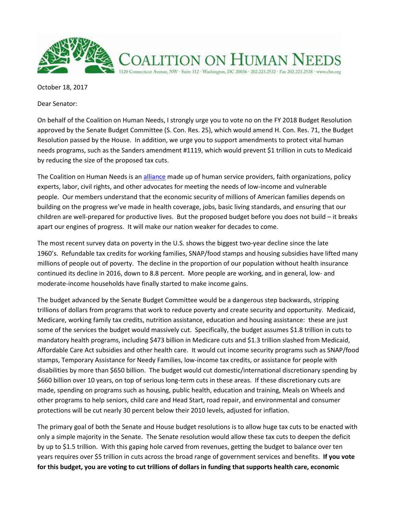

October 18, 2017

Dear Senator:

On behalf of the Coalition on Human Needs, I strongly urge you to vote no on the FY 2018 Budget Resolution approved by the Senate Budget Committee (S. Con. Res. 25), which would amend H. Con. Res. 71, the Budget Resolution passed by the House. In addition, we urge you to support amendments to protect vital human needs programs, such as the Sanders amendment #1119, which would prevent \$1 trillion in cuts to Medicaid by reducing the size of the proposed tax cuts.

The Coalition on Human Needs is a[n alliance](https://www.chn.org/about-chn/membership/member-organizations/) made up of human service providers, faith organizations, policy experts, labor, civil rights, and other advocates for meeting the needs of low-income and vulnerable people. Our members understand that the economic security of millions of American families depends on building on the progress we've made in health coverage, jobs, basic living standards, and ensuring that our children are well-prepared for productive lives. But the proposed budget before you does not build – it breaks apart our engines of progress. It will make our nation weaker for decades to come.

The most recent survey data on poverty in the U.S. shows the biggest two-year decline since the late 1960's. Refundable tax credits for working families, SNAP/food stamps and housing subsidies have lifted many millions of people out of poverty. The decline in the proportion of our population without health insurance continued its decline in 2016, down to 8.8 percent. More people are working, and in general, low- and moderate-income households have finally started to make income gains.

The budget advanced by the Senate Budget Committee would be a dangerous step backwards, stripping trillions of dollars from programs that work to reduce poverty and create security and opportunity. Medicaid, Medicare, working family tax credits, nutrition assistance, education and housing assistance: these are just some of the services the budget would massively cut. Specifically, the budget assumes \$1.8 trillion in cuts to mandatory health programs, including \$473 billion in Medicare cuts and \$1.3 trillion slashed from Medicaid, Affordable Care Act subsidies and other health care. It would cut income security programs such as SNAP/food stamps, Temporary Assistance for Needy Families, low-income tax credits, or assistance for people with disabilities by more than \$650 billion. The budget would cut domestic/international discretionary spending by \$660 billion over 10 years, on top of serious long-term cuts in these areas. If these discretionary cuts are made, spending on programs such as housing, public health, education and training, Meals on Wheels and other programs to help seniors, child care and Head Start, road repair, and environmental and consumer protections will be cut nearly 30 percent below their 2010 levels, adjusted for inflation.

The primary goal of both the Senate and House budget resolutions is to allow huge tax cuts to be enacted with only a simple majority in the Senate. The Senate resolution would allow these tax cuts to deepen the deficit by up to \$1.5 trillion. With this gaping hole carved from revenues, getting the budget to balance over ten years requires over \$5 trillion in cuts across the broad range of government services and benefits. **If you vote for this budget, you are voting to cut trillions of dollars in funding that supports health care, economic**